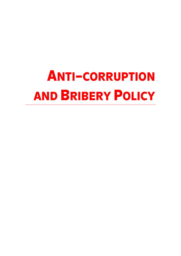# ANTI-CORRUPTION AND BRIBERY POLICY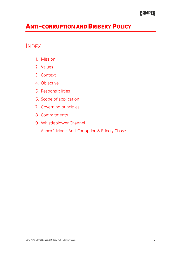## CAMPER

# ANTI-CORRUPTION AND BRIBERY POLICY

## INDEX

- 1. Mission
- 2. Values
- 3. Context
- 4. Objective
- 5. Responsibilities
- 6. Scope of application
- 7. Governing principles
- 8. Commitments
- 9. Whistleblower Channel
	- Annex 1. Model Anti-Corruption & Bribery Clause.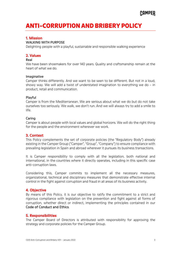# ANTI-CORRUPTION AND BRIBERY POLICY

#### 1. Mission

#### WALKING WITH PURPOSE

Delighting people with a playful, sustainable and responsible walking experience

#### 2. Values

#### Real

We have been shoemakers for over 140 years. Quality and craftsmanship remain at the heart of what we do.

#### Imaginative

Camper thinks differently. And we want to be seen to be different. But not in a loud, showy way. We will add a twist of understated imagination to everything we do – in product, retail and communication.

#### Playful

Camper is from the Mediterranean. We are serious about what we do but do not take ourselves too seriously. We walk, we don't run. And we will always try to add a smile to life.

#### Caring

Camper is about people with local values and global horizons. We will do the right thing for the people and the environment wherever we work.

#### 3. Context

This Policy complements the set of corporate policies (the "Regulatory Body") already existing in the Camper Group ("Camper", "Group", "Company") to ensure compliance with prevailing legislation in Spain and abroad wherever it pursues its business transactions.

It is Camper responsibility to comply with all the legislation, both national and international, in the countries where it directly operates, including in this specific case anti-corruption laws.

Considering this, Camper commits to implement all the necessary measures, organizational, technical and disciplinary measures that demonstrate effective internal control in the fight against corruption and fraud in all areas of its business activity.

#### 4. Objective

By means of this Policy, it is our objective to ratify the commitment to a strict and rigorous compliance with legislation on the prevention and fight against all forms of corruption, whether direct or indirect, implementing the principles contained in our Code of Conduct and Ethics.

#### 5. Responsibilities

The Camper Board of Directors is attributed with responsibility for approving the strategy and corporate policies for the Camper Group.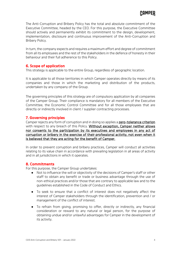The Anti-Corruption and Bribery Policy has the total and absolute commitment of the Executive Committee, headed by the CEO. For this purpose, the Executive Committee should actively and permanently exhibit its commitment to the design, development, implementation, disclosure and continuous improvement of the Anti-Corruption and Bribery Policy.

In turn, the company expects and requires a maximum effort and degree of commitment from all its employees and the rest of the stakeholders in the defence of honesty in their behaviour and their full adherence to this Policy.

#### 6. Scope of application

This strategy is applicable to the entire Group, regardless of geographic location.

It is applicable to all those territories in which Camper operates directly by means of its companies and those in which the marketing and distribution of the products, undertaken by any company of the Group.

The governing principles of this strategy are of compulsory application by all companies of the Camper Group. Their compliance is mandatory for all members of the Executive Committee, the Economic Control Committee and for all those employees that are directly or indirectly involved in client / supplier contracting processes.

#### 7. Governing principles

Camper rejects any form of corruption and in doing so applies a zero-tolerance criterion with respect to any breach of this Policy. Without exception, Camper neither allows nor consents to the participation by its executives and employees in any act of corruption or bribery in the exercise of their professional activity, not even when it is believed that they are acting for the benefit of Camper.

In order to prevent corruption and bribery practices, Camper will conduct all activities relating to its value chain in accordance with prevailing legislation in all areas of activity and in all jurisdictions in which it operates.

#### 8. Commitments

For this purpose, the Camper Group undertakes:

- Not to influence the will or objectivity of the decisions of Camper's staff or other staff to obtain any benefit or trade or business advantage through the use of non-ethical practices and/or those that are contrary to applicable law and to the guidelines established in the Code of Conduct and Ethics.
- To seek to ensure that a conflict of interest does not negatively affect the interest of Camper stakeholders through the identification, prevention and / or management of the conflict of interest.
- To refrain from giving, promising to offer, directly or indirectly, any financial consideration or reward to any natural or legal person, for the purpose of obtaining undue and/or unlawful advantages for Camper in the development of its activity.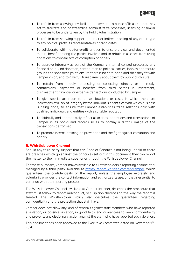- To refrain from allowing any facilitation payment to public officials so that they act to facilitate and/or streamline administrative processes, licensing or similar processes to be undertaken by the Public Administration.
- To refrain from showing support or direct or indirect backing of any other type to any political party, its representatives or candidates.
- To collaborate with not-for-profit entities to ensure a clear and documented mutual benefit among the parties involved and to refrain in all cases from using donations to conceal acts of corruption or bribery.
- To approve internally as part of the Company internal control processes, any financial or in-kind donation, contribution to political parties, lobbies or pressure groups and sponsorships, to ensure there is no corruption and that they fit with Camper vision, and to give full transparency about them by public disclosure.
- To refrain from unduly requesting or collecting, directly or indirectly, commissions, payments or benefits from third parties in investment, disinvestment, financial or expense transactions conducted by Camper.
- To give special attention to those situations or cases in which there are indications of a lack of integrity by the individuals or entities with which business is being done, to ensure that Camper establishes trade relations only with qualified individuals and entities with a suitable reputation.
- To faithfully and appropriately reflect all actions, operations and transactions of Camper in its books and records so as to portray a faithful image of the transactions performed.
- To promote internal training on prevention and the fight against corruption and bribery.

#### 9. Whistleblower Channel

Should any third-party suspect that this Code of Conduct is not being upheld or there are breaches which go against the principles set out in this document they can report the matter to their immediate superior or through the Whistleblower Channel.

For these purposes, Camper makes available to all stakeholders a reporting channel tool managed by a third party, available at https://report.whistleb.com/en/camper, which guarantees the confidentiality of the report, unless the employee expressly and voluntarily provides the contact information and authorizes its use, or that is essential to continue with the reporting process.

The Whistleblower Channel, available at Camper Intranet, describes the procedure that staff must follow to report misconduct, or suspicion thereof and the way the report is treated. The Whistleblower Policy also describes the guarantees regarding confidentiality and the protection that staff have.

Camper does not allow any kind of reprisals against staff members who have reported a violation, or possible violation, in good faith, and guarantees to keep confidentiality and prevents any disciplinary action against the staff who have reported such violation.

This document has been approved at the Executive Committee dated on November 6<sup>th</sup> 2020.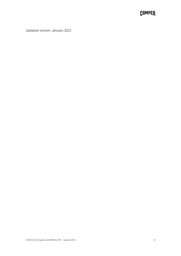## **CAMPER**

Updated version, January 2022